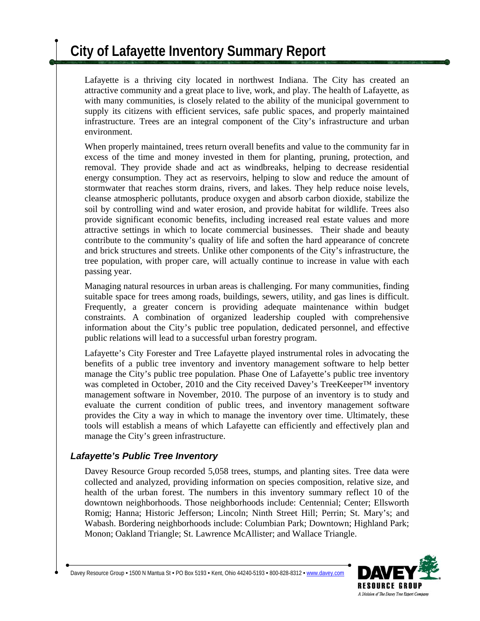# **City of Lafayette Inventory Summary Report**

Lafayette is a thriving city located in northwest Indiana. The City has created an attractive community and a great place to live, work, and play. The health of Lafayette, as with many communities, is closely related to the ability of the municipal government to supply its citizens with efficient services, safe public spaces, and properly maintained infrastructure. Trees are an integral component of the City's infrastructure and urban environment.

When properly maintained, trees return overall benefits and value to the community far in excess of the time and money invested in them for planting, pruning, protection, and removal. They provide shade and act as windbreaks, helping to decrease residential energy consumption. They act as reservoirs, helping to slow and reduce the amount of stormwater that reaches storm drains, rivers, and lakes. They help reduce noise levels, cleanse atmospheric pollutants, produce oxygen and absorb carbon dioxide, stabilize the soil by controlling wind and water erosion, and provide habitat for wildlife. Trees also provide significant economic benefits, including increased real estate values and more attractive settings in which to locate commercial businesses. Their shade and beauty contribute to the community's quality of life and soften the hard appearance of concrete and brick structures and streets. Unlike other components of the City's infrastructure, the tree population, with proper care, will actually continue to increase in value with each passing year.

Managing natural resources in urban areas is challenging. For many communities, finding suitable space for trees among roads, buildings, sewers, utility, and gas lines is difficult. Frequently, a greater concern is providing adequate maintenance within budget constraints. A combination of organized leadership coupled with comprehensive information about the City's public tree population, dedicated personnel, and effective public relations will lead to a successful urban forestry program.

Lafayette's City Forester and Tree Lafayette played instrumental roles in advocating the benefits of a public tree inventory and inventory management software to help better manage the City's public tree population. Phase One of Lafayette's public tree inventory was completed in October, 2010 and the City received Davey's TreeKeeper™ inventory management software in November, 2010. The purpose of an inventory is to study and evaluate the current condition of public trees, and inventory management software provides the City a way in which to manage the inventory over time. Ultimately, these tools will establish a means of which Lafayette can efficiently and effectively plan and manage the City's green infrastructure.

### *Lafayette's Public Tree Inventory*

Davey Resource Group recorded 5,058 trees, stumps, and planting sites. Tree data were collected and analyzed, providing information on species composition, relative size, and health of the urban forest. The numbers in this inventory summary reflect 10 of the downtown neighborhoods. Those neighborhoods include: Centennial; Center; Ellsworth Romig; Hanna; Historic Jefferson; Lincoln; Ninth Street Hill; Perrin; St. Mary's; and Wabash. Bordering neighborhoods include: Columbian Park; Downtown; Highland Park; Monon; Oakland Triangle; St. Lawrence McAllister; and Wallace Triangle.

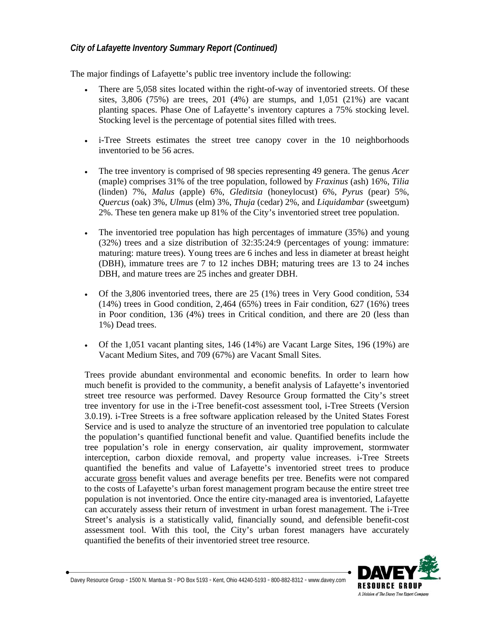#### *City of Lafayette Inventory Summary Report (Continued)*

The major findings of Lafayette's public tree inventory include the following:

- There are 5,058 sites located within the right-of-way of inventoried streets. Of these sites, 3,806 (75%) are trees, 201 (4%) are stumps, and 1,051 (21%) are vacant planting spaces. Phase One of Lafayette's inventory captures a 75% stocking level. Stocking level is the percentage of potential sites filled with trees.
- i-Tree Streets estimates the street tree canopy cover in the 10 neighborhoods inventoried to be 56 acres.
- The tree inventory is comprised of 98 species representing 49 genera. The genus *Acer*  (maple) comprises 31% of the tree population, followed by *Fraxinus* (ash) 16%, *Tilia* (linden) 7%, *Malus* (apple) 6%, *Gleditsia* (honeylocust) 6%, *Pyrus* (pear) 5%, *Quercus* (oak) 3%, *Ulmus* (elm) 3%, *Thuja* (cedar) 2%, and *Liquidambar* (sweetgum) 2%. These ten genera make up 81% of the City's inventoried street tree population.
- The inventoried tree population has high percentages of immature (35%) and young (32%) trees and a size distribution of 32:35:24:9 (percentages of young: immature: maturing: mature trees). Young trees are 6 inches and less in diameter at breast height (DBH), immature trees are 7 to 12 inches DBH; maturing trees are 13 to 24 inches DBH, and mature trees are 25 inches and greater DBH.
- Of the  $3,806$  inventoried trees, there are  $25$  (1%) trees in Very Good condition,  $534$  $(14%)$  trees in Good condition, 2,464  $(65%)$  trees in Fair condition, 627  $(16%)$  trees in Poor condition, 136 (4%) trees in Critical condition, and there are 20 (less than 1%) Dead trees.
- Of the 1,051 vacant planting sites, 146 (14%) are Vacant Large Sites, 196 (19%) are Vacant Medium Sites, and 709 (67%) are Vacant Small Sites.

Trees provide abundant environmental and economic benefits. In order to learn how much benefit is provided to the community, a benefit analysis of Lafayette's inventoried street tree resource was performed. Davey Resource Group formatted the City's street tree inventory for use in the i-Tree benefit-cost assessment tool, i-Tree Streets (Version 3.0.19). i-Tree Streets is a free software application released by the United States Forest Service and is used to analyze the structure of an inventoried tree population to calculate the population's quantified functional benefit and value. Quantified benefits include the tree population's role in energy conservation, air quality improvement, stormwater interception, carbon dioxide removal, and property value increases. i-Tree Streets quantified the benefits and value of Lafayette's inventoried street trees to produce accurate gross benefit values and average benefits per tree. Benefits were not compared to the costs of Lafayette's urban forest management program because the entire street tree population is not inventoried. Once the entire city-managed area is inventoried, Lafayette can accurately assess their return of investment in urban forest management. The i-Tree Street's analysis is a statistically valid, financially sound, and defensible benefit-cost assessment tool. With this tool, the City's urban forest managers have accurately quantified the benefits of their inventoried street tree resource.



Davey Resource Group ◦ 1500 N. Mantua St ◦ PO Box 5193 ◦ Kent, Ohio 44240-5193 ◦ 800-882-8312 ◦ www.davey.com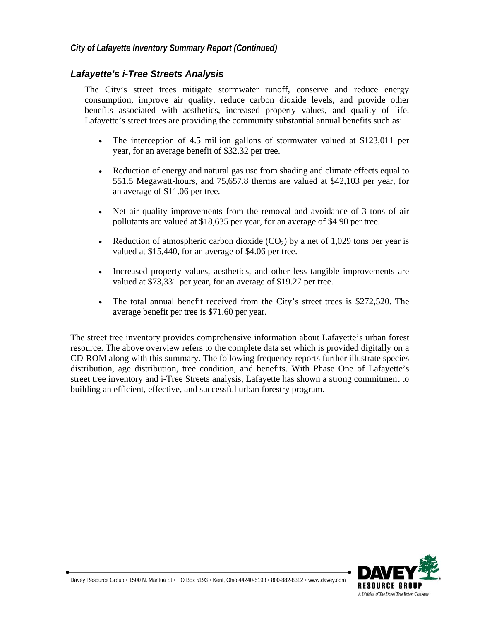#### *Lafayette's i-Tree Streets Analysis*

The City's street trees mitigate stormwater runoff, conserve and reduce energy consumption, improve air quality, reduce carbon dioxide levels, and provide other benefits associated with aesthetics, increased property values, and quality of life. Lafayette's street trees are providing the community substantial annual benefits such as:

- The interception of 4.5 million gallons of stormwater valued at \$123,011 per year, for an average benefit of \$32.32 per tree.
- Reduction of energy and natural gas use from shading and climate effects equal to 551.5 Megawatt-hours, and 75,657.8 therms are valued at \$42,103 per year, for an average of \$11.06 per tree.
- Net air quality improvements from the removal and avoidance of 3 tons of air pollutants are valued at \$18,635 per year, for an average of \$4.90 per tree.
- Reduction of atmospheric carbon dioxide  $(CO_2)$  by a net of 1,029 tons per year is valued at \$15,440, for an average of \$4.06 per tree.
- Increased property values, aesthetics, and other less tangible improvements are valued at \$73,331 per year, for an average of \$19.27 per tree.
- The total annual benefit received from the City's street trees is \$272,520. The average benefit per tree is \$71.60 per year.

The street tree inventory provides comprehensive information about Lafayette's urban forest resource. The above overview refers to the complete data set which is provided digitally on a CD-ROM along with this summary. The following frequency reports further illustrate species distribution, age distribution, tree condition, and benefits. With Phase One of Lafayette's street tree inventory and i-Tree Streets analysis, Lafayette has shown a strong commitment to building an efficient, effective, and successful urban forestry program.

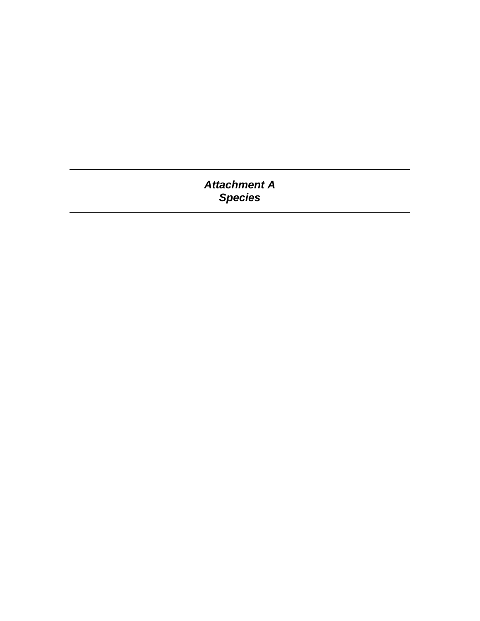### *Attachment A Species*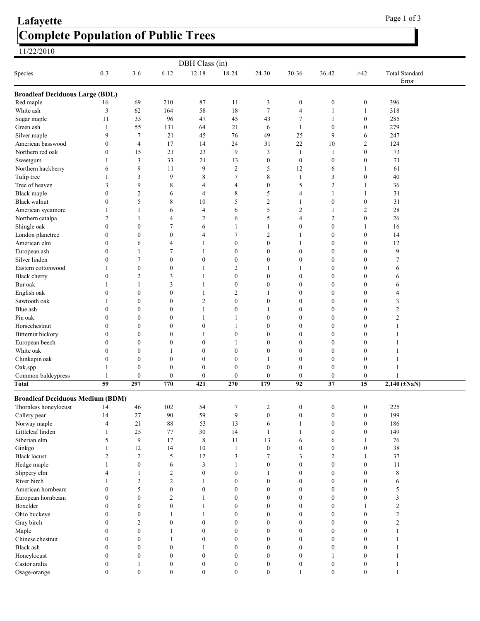### Complete Population of Public Trees 11/22/2010 Lafayette Page 1 of 3

| DBH Class (in)                          |                  |                  |                  |                  |                  |                  |                  |                  |                  |                                |  |
|-----------------------------------------|------------------|------------------|------------------|------------------|------------------|------------------|------------------|------------------|------------------|--------------------------------|--|
| Species                                 | $0 - 3$          | $3-6$            | $6 - 12$         | $12 - 18$        | 18-24            | 24-30            | $30 - 36$        | 36-42            | $>42$            | <b>Total Standard</b><br>Error |  |
| <b>Broadleaf Deciduous Large (BDL)</b>  |                  |                  |                  |                  |                  |                  |                  |                  |                  |                                |  |
| Red maple                               | 16               | 69               | 210              | 87               | 11               | 3                | $\boldsymbol{0}$ | $\boldsymbol{0}$ | 0                | 396                            |  |
| White ash                               | 3                | 62               | 164              | 58               | 18               | $\tau$           | $\overline{4}$   | $\mathbf{1}$     | 1                | 318                            |  |
| Sugar maple                             | 11               | 35               | 96               | 47               | 45               | 43               | $\tau$           | $\mathbf{1}$     | $\boldsymbol{0}$ | 285                            |  |
| Green ash                               | 1                | 55               | 131              | 64               | 21               | 6                | 1                | $\boldsymbol{0}$ | $\boldsymbol{0}$ | 279                            |  |
| Silver maple                            | 9                | $\tau$           | 21               | 45               | 76               | 49               | 25               | 9                | 6                | 247                            |  |
| American basswood                       | 0                | $\overline{4}$   | 17               | 14               | 24               | 31               | 22               | 10               | 2                | 124                            |  |
| Northern red oak                        | $\mathbf{0}$     | 15               | 21               | 23               | 9                | 3                | $\mathbf{1}$     | $\mathbf{1}$     | $\boldsymbol{0}$ | 73                             |  |
| Sweetgum                                |                  | 3                | 33               | 21               | 13               | $\boldsymbol{0}$ | $\boldsymbol{0}$ | $\boldsymbol{0}$ | $\boldsymbol{0}$ | 71                             |  |
| Northern hackberry                      | 6                | 9                | 11               | 9                | $\overline{2}$   | 5                | 12               | 6                | 1                | 61                             |  |
| Tulip tree                              | 1                | 3                | 9                | $\,$ 8 $\,$      | 7                | $\,$ 8 $\,$      | 1                | 3                | $\boldsymbol{0}$ | 40                             |  |
| Tree of heaven                          | 3                | 9                | 8                | $\overline{4}$   | 4                | $\boldsymbol{0}$ | 5                | $\overline{c}$   | 1                | 36                             |  |
| <b>Black</b> maple                      | $\theta$         | 2                | 6                | 4                | 8                | 5                | 4                | $\mathbf{1}$     | 1                | 31                             |  |
| <b>Black walnut</b>                     | $\mathbf{0}$     | 5                | 8                | 10               | 5                | 2                | 1                | $\mathbf{0}$     | $\boldsymbol{0}$ | 31                             |  |
| American sycamore                       | 1                | 1                | 6                | 4                | 6                | 5                | 2                | $\mathbf{1}$     | 2                | 28                             |  |
| Northern catalpa                        | 2                | 1                | 4                | $\overline{c}$   | 6                | 5                | 4                | $\overline{c}$   | $\boldsymbol{0}$ | 26                             |  |
| Shingle oak                             | $\theta$         | $\boldsymbol{0}$ | 7                | 6                | 1                | 1                | $\boldsymbol{0}$ | $\boldsymbol{0}$ | 1                | 16                             |  |
| London planetree                        | $\mathbf{0}$     | $\mathbf{0}$     | $\mathbf{0}$     | 4                | 7                | $\overline{c}$   | 1                | $\boldsymbol{0}$ | $\boldsymbol{0}$ | 14                             |  |
| American elm                            | $\mathbf{0}$     | 6                | 4                | 1                | $\boldsymbol{0}$ | $\boldsymbol{0}$ | 1                | $\boldsymbol{0}$ | $\boldsymbol{0}$ | 12                             |  |
| European ash                            | $\theta$         | $\mathbf{1}$     | 7                | $\mathbf{1}$     | $\mathbf{0}$     | $\boldsymbol{0}$ | $\boldsymbol{0}$ | $\boldsymbol{0}$ | $\boldsymbol{0}$ | 9                              |  |
| Silver linden                           | $\Omega$         | 7                | $\boldsymbol{0}$ | $\boldsymbol{0}$ | $\boldsymbol{0}$ | $\boldsymbol{0}$ | $\boldsymbol{0}$ | $\boldsymbol{0}$ | $\boldsymbol{0}$ | 7                              |  |
| Eastern cottonwood                      |                  | $\boldsymbol{0}$ | $\boldsymbol{0}$ | -1               | 2                |                  |                  | $\boldsymbol{0}$ | $\boldsymbol{0}$ | 6                              |  |
| <b>Black</b> cherry                     | $\theta$         | 2                | 3                | -1               | $\boldsymbol{0}$ | $\boldsymbol{0}$ | $\boldsymbol{0}$ | $\boldsymbol{0}$ | $\boldsymbol{0}$ | 6                              |  |
| Bur oak                                 |                  | 1                | 3                | $\mathbf{1}$     | $\mathbf{0}$     | $\boldsymbol{0}$ | $\boldsymbol{0}$ | $\boldsymbol{0}$ | $\boldsymbol{0}$ | 6                              |  |
| English oak                             | $\theta$         | $\boldsymbol{0}$ | $\boldsymbol{0}$ | $\mathbf{1}$     | 2                | 1                | $\boldsymbol{0}$ | $\boldsymbol{0}$ | $\boldsymbol{0}$ | 4                              |  |
| Sawtooth oak                            |                  | $\mathbf{0}$     | $\boldsymbol{0}$ | $\mathfrak{2}$   | $\mathbf{0}$     | $\boldsymbol{0}$ | $\mathbf{0}$     | $\boldsymbol{0}$ | $\boldsymbol{0}$ | 3                              |  |
| Blue ash                                | $\boldsymbol{0}$ | $\boldsymbol{0}$ | $\boldsymbol{0}$ | 1                | $\boldsymbol{0}$ | 1                | $\boldsymbol{0}$ | $\boldsymbol{0}$ | $\boldsymbol{0}$ | $\overline{2}$                 |  |
| Pin oak                                 | $\mathbf{0}$     | $\boldsymbol{0}$ | $\mathbf{0}$     | 1                |                  | $\boldsymbol{0}$ | $\boldsymbol{0}$ | $\boldsymbol{0}$ | $\boldsymbol{0}$ | $\overline{c}$                 |  |
| Horsechestnut                           | $\Omega$         | 0                | $\boldsymbol{0}$ | $\boldsymbol{0}$ | 1                | $\boldsymbol{0}$ | $\mathbf{0}$     | $\boldsymbol{0}$ | $\boldsymbol{0}$ |                                |  |
| Bitternut hickory                       | $\boldsymbol{0}$ | 0                | $\mathbf{0}$     | 1                | $\mathbf{0}$     | $\boldsymbol{0}$ | $\mathbf{0}$     | $\boldsymbol{0}$ | $\boldsymbol{0}$ |                                |  |
| European beech                          | $\mathbf{0}$     | $\boldsymbol{0}$ | $\mathbf{0}$     | $\mathbf{0}$     |                  | $\boldsymbol{0}$ | $\mathbf{0}$     | $\mathbf{0}$     | $\boldsymbol{0}$ |                                |  |
| White oak                               | $\boldsymbol{0}$ | 0                |                  | $\boldsymbol{0}$ | $\boldsymbol{0}$ | $\boldsymbol{0}$ | $\mathbf{0}$     | $\boldsymbol{0}$ | $\boldsymbol{0}$ |                                |  |
| Chinkapin oak                           | $\theta$         | $\boldsymbol{0}$ | $\mathbf{0}$     | $\theta$         | $\boldsymbol{0}$ | 1                | $\mathbf{0}$     | $\boldsymbol{0}$ | $\boldsymbol{0}$ |                                |  |
| Oak,spp.                                |                  | $\boldsymbol{0}$ | $\theta$         | $\mathbf{0}$     | $\mathbf{0}$     | $\boldsymbol{0}$ | $\mathbf{0}$     | $\mathbf{0}$     | $\mathbf{0}$     |                                |  |
| Common baldcypress                      | 1                | $\boldsymbol{0}$ | $\boldsymbol{0}$ | $\boldsymbol{0}$ | $\boldsymbol{0}$ | $\boldsymbol{0}$ | $\boldsymbol{0}$ | $\boldsymbol{0}$ | $\boldsymbol{0}$ |                                |  |
| Total                                   | 59               | 297              | 770              | 421              | 270              | 179              | 92               | 37               | 15               | $2,140 \, (\pm \text{NaN})$    |  |
| <b>Broadleaf Deciduous Medium (BDM)</b> |                  |                  |                  |                  |                  |                  |                  |                  |                  |                                |  |
| Thornless honeylocust                   | 14               | 46               | 102              | 54               | $\mathcal{I}$    | 2                | $\boldsymbol{0}$ | $\boldsymbol{0}$ | $\boldsymbol{0}$ | 225                            |  |
| Callery pear                            | 14               | 27               | $90\,$           | 59               | $\overline{9}$   | $\boldsymbol{0}$ | $\boldsymbol{0}$ | $\boldsymbol{0}$ | $\boldsymbol{0}$ | 199                            |  |
| Norway maple                            | $\overline{4}$   | 21               | $\bf 88$         | 53               | 13               | 6                | 1                | $\boldsymbol{0}$ | $\boldsymbol{0}$ | 186                            |  |
| Littleleaf linden                       | 1                | 25               | 77               | 30               | 14               | 1                | 1                | $\mathbf{0}$     | $\boldsymbol{0}$ | 149                            |  |
| Siberian elm                            | 5                | $\overline{9}$   | 17               | $\,8\,$          | 11               | 13               | 6                | 6                | 1                | 76                             |  |
| Ginkgo                                  | $\mathbf{1}$     | 12               | 14               | 10               | $\mathbf{1}$     | $\boldsymbol{0}$ | $\mathbf{0}$     | $\boldsymbol{0}$ | $\boldsymbol{0}$ | 38                             |  |
| <b>Black locust</b>                     | $\overline{2}$   | $\overline{2}$   | 5                | 12               | 3                | 7                | 3                | $\overline{c}$   | 1                | 37                             |  |
| Hedge maple                             | 1                | $\boldsymbol{0}$ | 6                | 3                | 1                | $\boldsymbol{0}$ | $\mathbf{0}$     | $\mathbf{0}$     | $\boldsymbol{0}$ | 11                             |  |
| Slippery elm                            | 4                | 1                | $\overline{c}$   | $\boldsymbol{0}$ | $\boldsymbol{0}$ | 1                | $\boldsymbol{0}$ | $\boldsymbol{0}$ | $\boldsymbol{0}$ | $\,$ 8 $\,$                    |  |
| River birch                             | 1                | $\mathfrak{2}$   | $\overline{c}$   | $\mathbf{1}$     | $\boldsymbol{0}$ | $\boldsymbol{0}$ | $\mathbf{0}$     | $\boldsymbol{0}$ | $\boldsymbol{0}$ | 6                              |  |
| American hornbeam                       | $\mathbf{0}$     | 5                | $\boldsymbol{0}$ | $\boldsymbol{0}$ | $\boldsymbol{0}$ | $\boldsymbol{0}$ | $\mathbf{0}$     | $\boldsymbol{0}$ | $\boldsymbol{0}$ | 5                              |  |
| European hornbeam                       | $\mathbf{0}$     | $\mathbf{0}$     | 2                | 1                | $\mathbf{0}$     | $\boldsymbol{0}$ | $\mathbf{0}$     | $\mathbf{0}$     | $\boldsymbol{0}$ | 3                              |  |
| Boxelder                                | $\mathbf{0}$     | $\boldsymbol{0}$ | $\boldsymbol{0}$ | 1                | $\boldsymbol{0}$ | $\boldsymbol{0}$ | $\boldsymbol{0}$ | $\boldsymbol{0}$ | 1                | $\overline{\mathbf{c}}$        |  |
| Ohio buckeye                            | $\mathbf{0}$     | $\overline{0}$   | 1                | 1                | $\mathbf{0}$     | $\boldsymbol{0}$ | $\mathbf{0}$     | $\boldsymbol{0}$ | $\boldsymbol{0}$ | $\overline{\mathbf{c}}$        |  |
| Gray birch                              | $\mathbf{0}$     | 2                | $\boldsymbol{0}$ | $\mathbf{0}$     | $\mathbf{0}$     | $\boldsymbol{0}$ | $\mathbf{0}$     | $\mathbf{0}$     | $\boldsymbol{0}$ | $\overline{c}$                 |  |
| Maple                                   | $\mathbf{0}$     | $\mathbf{0}$     | 1                | $\mathbf{0}$     | $\mathbf{0}$     | $\boldsymbol{0}$ | $\mathbf{0}$     | $\mathbf{0}$     | $\boldsymbol{0}$ | 1                              |  |
| Chinese chestnut                        | $\boldsymbol{0}$ | $\bf{0}$         | 1                | $\boldsymbol{0}$ | $\boldsymbol{0}$ | $\boldsymbol{0}$ | $\boldsymbol{0}$ | $\boldsymbol{0}$ | $\boldsymbol{0}$ | 1                              |  |
| Black ash                               | $\boldsymbol{0}$ | $\boldsymbol{0}$ | $\boldsymbol{0}$ | $\mathbf{1}$     | $\boldsymbol{0}$ | $\boldsymbol{0}$ | $\boldsymbol{0}$ | $\boldsymbol{0}$ | $\boldsymbol{0}$ | 1                              |  |
| Honeylocust                             | $\boldsymbol{0}$ | $\boldsymbol{0}$ | $\boldsymbol{0}$ | $\boldsymbol{0}$ | $\boldsymbol{0}$ | $\boldsymbol{0}$ | $\boldsymbol{0}$ | 1                | $\boldsymbol{0}$ | 1                              |  |
| Castor aralia                           | $\boldsymbol{0}$ | $\mathbf{1}$     | $\overline{0}$   | $\boldsymbol{0}$ | $\mathbf{0}$     | $\boldsymbol{0}$ | $\mathbf{0}$     | $\mathbf{0}$     | $\boldsymbol{0}$ | 1                              |  |

Osage-orange 0 0 0 0 0 0 0 1 0 0 1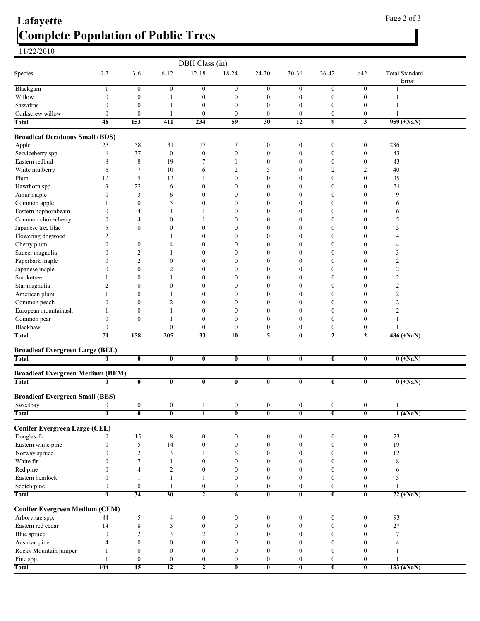# Complete Population of Public Trees Lafayette Page 2 of 3

| Species                                 | $0 - 3$                            | $3-6$                        | $6 - 12$                             | DBH Class (in)<br>$12 - 18$      | 18-24                            | $24 - 30$                            | 30-36                                | 36-42                                | $>42$                                | <b>Total Standard</b><br>Error      |  |
|-----------------------------------------|------------------------------------|------------------------------|--------------------------------------|----------------------------------|----------------------------------|--------------------------------------|--------------------------------------|--------------------------------------|--------------------------------------|-------------------------------------|--|
| Blackgum                                | 1                                  | $\boldsymbol{0}$             | $\overline{0}$                       | $\boldsymbol{0}$                 | $\boldsymbol{0}$                 | $\boldsymbol{0}$                     | $\boldsymbol{0}$                     | $\boldsymbol{0}$                     | $\overline{0}$                       |                                     |  |
| Willow                                  | $\boldsymbol{0}$                   | $\boldsymbol{0}$             | 1                                    | $\boldsymbol{0}$                 | $\boldsymbol{0}$                 | $\boldsymbol{0}$                     | $\boldsymbol{0}$                     | $\boldsymbol{0}$                     | $\boldsymbol{0}$                     | 1                                   |  |
| Sassafras                               | $\mathbf{0}$                       | $\boldsymbol{0}$             | 1                                    | $\boldsymbol{0}$                 | $\boldsymbol{0}$                 | $\boldsymbol{0}$                     | $\boldsymbol{0}$                     | $\boldsymbol{0}$                     | $\boldsymbol{0}$                     | 1                                   |  |
| Corkscrew willow                        | $\boldsymbol{0}$                   | $\boldsymbol{0}$             | 1                                    | $\boldsymbol{0}$                 | $\boldsymbol{0}$                 | $\boldsymbol{0}$                     | $\boldsymbol{0}$                     | $\boldsymbol{0}$                     | $\boldsymbol{0}$                     |                                     |  |
| Total                                   | 48                                 | 153                          | 411                                  | 234                              | 59                               | 30                                   | $\overline{12}$                      | 9                                    | $\overline{\mathbf{3}}$              | 959 ( $\pm$ NaN)                    |  |
| <b>Broadleaf Deciduous Small (BDS)</b>  |                                    |                              |                                      |                                  |                                  |                                      |                                      |                                      |                                      |                                     |  |
| Apple                                   | 23                                 | 58                           | 131                                  | 17                               | $\overline{7}$                   | $\boldsymbol{0}$                     | $\boldsymbol{0}$                     | $\boldsymbol{0}$                     | $\boldsymbol{0}$                     | 236                                 |  |
| Serviceberry spp.                       | 6                                  | 37                           | $\boldsymbol{0}$                     | $\boldsymbol{0}$                 | $\boldsymbol{0}$                 | $\boldsymbol{0}$                     | $\boldsymbol{0}$                     | $\boldsymbol{0}$                     | $\boldsymbol{0}$                     | 43                                  |  |
| Eastern redbud                          | 8                                  | 8                            | 19                                   | 7                                | $\mathbf{1}$                     | $\boldsymbol{0}$                     | $\boldsymbol{0}$                     | $\boldsymbol{0}$                     | $\boldsymbol{0}$                     | 43                                  |  |
| White mulberry                          | 6                                  | $\overline{7}$               | 10                                   | 6                                | $\overline{2}$                   | 5                                    | $\boldsymbol{0}$                     | 2                                    | $\overline{2}$                       | 40                                  |  |
| Plum                                    | 12                                 | 9                            | 13                                   |                                  | $\theta$                         | $\mathbf{0}$                         | $\mathbf{0}$                         | $\mathbf{0}$                         | $\boldsymbol{0}$                     | 35                                  |  |
| Hawthorn spp.                           | 3                                  | 22                           | 6                                    | 0                                | $\mathbf{0}$                     | $\boldsymbol{0}$                     | $\boldsymbol{0}$                     | $\boldsymbol{0}$                     | $\boldsymbol{0}$                     | 31                                  |  |
| Amur maple                              | $\mathbf{0}$                       | 3                            | 6                                    | 0                                | $\theta$                         | $\boldsymbol{0}$                     | $\mathbf{0}$                         | $\mathbf{0}$                         | $\boldsymbol{0}$                     | 9                                   |  |
| Common apple                            | 1                                  | $\boldsymbol{0}$             | 5                                    | 0                                | $\boldsymbol{0}$                 | $\boldsymbol{0}$                     | $\boldsymbol{0}$                     | $\boldsymbol{0}$                     | $\boldsymbol{0}$                     | 6                                   |  |
| Eastern hophornbeam                     | $\boldsymbol{0}$                   | 4                            | 1                                    |                                  | $\theta$                         | $\boldsymbol{0}$                     | $\boldsymbol{0}$                     | $\mathbf{0}$                         | $\boldsymbol{0}$                     | 6                                   |  |
| Common chokecherry                      | $\boldsymbol{0}$                   | 4                            | $\boldsymbol{0}$                     |                                  | $\mathbf{0}$                     | $\boldsymbol{0}$                     | $\boldsymbol{0}$                     | $\boldsymbol{0}$                     | $\boldsymbol{0}$                     | 5                                   |  |
| Japanese tree lilac                     | 5                                  | $\mathbf{0}$                 | $\boldsymbol{0}$                     | $\theta$                         | $\theta$                         | $\boldsymbol{0}$                     | 0                                    | $\boldsymbol{0}$                     | $\boldsymbol{0}$                     | 5                                   |  |
| Flowering dogwood                       | $\overline{2}$                     |                              | 1                                    | 0                                | $\theta$                         | $\boldsymbol{0}$                     | 0                                    | $\boldsymbol{0}$                     | $\boldsymbol{0}$                     | 4                                   |  |
| Cherry plum                             | $\theta$                           | $\theta$                     | 4                                    | 0                                | $\Omega$                         | $\boldsymbol{0}$                     | 0                                    | $\mathbf{0}$                         | $\theta$                             | 4                                   |  |
| Saucer magnolia                         | 0                                  | $\overline{2}$               | 1                                    | 0                                | $\mathbf{0}$                     | $\boldsymbol{0}$                     | $\boldsymbol{0}$                     | $\boldsymbol{0}$                     | $\boldsymbol{0}$                     | 3                                   |  |
| Paperbark maple                         | $\boldsymbol{0}$                   | $\overline{c}$               | $\boldsymbol{0}$                     | 0                                | $\theta$                         | $\boldsymbol{0}$                     | $\boldsymbol{0}$                     | $\boldsymbol{0}$                     | $\boldsymbol{0}$                     | $\overline{c}$                      |  |
| Japanese maple                          | 0                                  | $\boldsymbol{0}$             | $\overline{c}$                       | 0                                | $\theta$                         | $\boldsymbol{0}$                     | $\boldsymbol{0}$                     | $\mathbf{0}$                         | $\boldsymbol{0}$                     | $\overline{c}$                      |  |
| Smoketree                               |                                    | $\mathbf{0}$                 | 1                                    | 0                                | $\theta$                         | $\boldsymbol{0}$                     | $\boldsymbol{0}$                     | $\mathbf{0}$                         | $\boldsymbol{0}$                     | $\overline{c}$                      |  |
| Star magnolia                           | 2                                  | $\theta$                     | $\boldsymbol{0}$                     | 0                                | $\theta$                         | $\boldsymbol{0}$                     | $\mathbf{0}$                         | $\mathbf{0}$                         | $\mathbf{0}$                         | $\overline{2}$                      |  |
| American plum                           |                                    | $\theta$                     | 1                                    | 0                                | $\theta$                         | $\boldsymbol{0}$                     | 0                                    | $\mathbf{0}$                         | $\boldsymbol{0}$                     | $\overline{2}$                      |  |
| Common peach                            | 0<br>1                             | $\mathbf{0}$<br>$\mathbf{0}$ | $\overline{2}$                       | 0<br>$\boldsymbol{0}$            | $\theta$<br>$\theta$             | $\boldsymbol{0}$<br>$\boldsymbol{0}$ | 0<br>$\boldsymbol{0}$                | $\mathbf{0}$<br>$\mathbf{0}$         | $\boldsymbol{0}$<br>$\boldsymbol{0}$ | $\overline{2}$<br>$\overline{2}$    |  |
| European mountainash                    | $\mathbf{0}$                       | $\mathbf{0}$                 | 1<br>1                               | $\boldsymbol{0}$                 | $\mathbf{0}$                     | $\boldsymbol{0}$                     | $\boldsymbol{0}$                     | $\boldsymbol{0}$                     | $\boldsymbol{0}$                     |                                     |  |
| Common pear<br>Blackhaw                 | $\boldsymbol{0}$                   |                              | $\boldsymbol{0}$                     | $\boldsymbol{0}$                 | $\bf{0}$                         | $\boldsymbol{0}$                     | $\boldsymbol{0}$                     | $\boldsymbol{0}$                     | $\boldsymbol{0}$                     |                                     |  |
| <b>Total</b>                            | 71                                 | 158                          | 205                                  | 33                               | 10                               | 5                                    | $\bf{0}$                             | $\mathbf{2}$                         | $\overline{2}$                       | 486 (±NaN)                          |  |
|                                         |                                    |                              |                                      |                                  |                                  |                                      |                                      |                                      |                                      |                                     |  |
| <b>Broadleaf Evergreen Large (BEL)</b>  |                                    |                              |                                      |                                  |                                  |                                      |                                      |                                      |                                      |                                     |  |
| Total                                   | $\mathbf{0}$                       | $\bf{0}$                     | $\bf{0}$                             | $\bf{0}$                         | $\bf{0}$                         | $\overline{\mathbf{0}}$              | $\bf{0}$                             | $\bf{0}$                             | $\bf{0}$                             | $0$ ( $\pm$ NaN)                    |  |
| <b>Broadleaf Evergreen Medium (BEM)</b> |                                    |                              |                                      |                                  |                                  |                                      |                                      |                                      |                                      |                                     |  |
| <b>Total</b>                            | $\overline{\mathbf{0}}$            | $\overline{\mathbf{0}}$      | $\overline{\mathbf{0}}$              | $\overline{\mathbf{0}}$          | $\overline{\mathbf{0}}$          | $\overline{\mathbf{0}}$              | $\overline{\mathbf{0}}$              | 0                                    | $\overline{\mathbf{0}}$              | $0$ ( $\pm$ NaN)                    |  |
| <b>Broadleaf Evergreen Small (BES)</b>  |                                    |                              |                                      |                                  |                                  |                                      |                                      |                                      |                                      |                                     |  |
| ${\bf S}$ weetbay                       | $\theta$                           | $\theta$                     | $\theta$                             |                                  | $\theta$                         | $\theta$                             | $\theta$                             | $\theta$                             | $\theta$                             |                                     |  |
| Total                                   | $\overline{\mathbf{0}}$            | $\bf{0}$                     | $\overline{\mathbf{0}}$              | $\overline{1}$                   | $\overline{\mathbf{0}}$          | $\overline{\mathbf{0}}$              | $\overline{\mathbf{0}}$              | $\bf{0}$                             | $\overline{\mathbf{0}}$              | $1 (+NaN)$                          |  |
| <b>Conifer Evergreen Large (CEL)</b>    |                                    |                              |                                      |                                  |                                  |                                      |                                      |                                      |                                      |                                     |  |
| Douglas-fir                             | 0                                  | 15                           | 8                                    | $\boldsymbol{0}$                 | $\boldsymbol{0}$                 | $\boldsymbol{0}$                     | $\boldsymbol{0}$                     | $\boldsymbol{0}$                     | $\boldsymbol{0}$                     | 23                                  |  |
| Eastern white pine                      | $\boldsymbol{0}$                   | $\sqrt{5}$                   | 14                                   | $\boldsymbol{0}$                 | $\boldsymbol{0}$                 | $\boldsymbol{0}$                     | $\boldsymbol{0}$                     | $\boldsymbol{0}$                     | $\boldsymbol{0}$                     | 19                                  |  |
| Norway spruce                           | $\overline{0}$                     | $\sqrt{2}$                   | 3                                    | 1                                | 6                                | $\boldsymbol{0}$                     | $\boldsymbol{0}$                     | $\boldsymbol{0}$                     | $\boldsymbol{0}$                     | 12                                  |  |
| White fir                               | $\overline{0}$                     | 7                            | 1                                    | $\boldsymbol{0}$                 | $\mathbf{0}$                     | $\boldsymbol{0}$                     | $\boldsymbol{0}$                     | $\mathbf{0}$                         | $\boldsymbol{0}$                     | 8                                   |  |
| Red pine                                | $\mathbf{0}$                       | 4                            | 2                                    | $\boldsymbol{0}$                 | $\mathbf{0}$                     | $\mathbf{0}$                         | $\mathbf{0}$                         | $\boldsymbol{0}$                     | $\theta$                             | 6                                   |  |
| Eastern hemlock<br>Scotch pine          | $\overline{0}$<br>$\boldsymbol{0}$ | -1<br>$\boldsymbol{0}$       | $\mathbf{1}$<br>$\mathbf{1}$         | 1<br>$\boldsymbol{0}$            | $\mathbf{0}$<br>$\boldsymbol{0}$ | $\boldsymbol{0}$<br>$\boldsymbol{0}$ | $\boldsymbol{0}$<br>$\boldsymbol{0}$ | $\boldsymbol{0}$<br>$\boldsymbol{0}$ | $\boldsymbol{0}$<br>$\boldsymbol{0}$ | 3<br>$\mathbf{1}$                   |  |
| Total                                   | $\bf{0}$                           | 34                           | 30                                   | $\overline{2}$                   | 6                                | $\overline{\mathbf{0}}$              | $\overline{\mathbf{0}}$              | $\bf{0}$                             | $\overline{\mathbf{0}}$              | $72 \left( \pm \text{NaN} \right)$  |  |
|                                         |                                    |                              |                                      |                                  |                                  |                                      |                                      |                                      |                                      |                                     |  |
| <b>Conifer Evergreen Medium (CEM)</b>   |                                    |                              |                                      |                                  |                                  |                                      |                                      |                                      |                                      |                                     |  |
| Arborvitae spp.                         | 84                                 | 5                            | 4                                    | $\boldsymbol{0}$                 | $\boldsymbol{0}$                 | $\boldsymbol{0}$                     | $\boldsymbol{0}$                     | $\boldsymbol{0}$                     | $\boldsymbol{0}$                     | 93                                  |  |
| Eastern red cedar                       | 14                                 | 8                            | 5                                    | $\boldsymbol{0}$                 | $\boldsymbol{0}$                 | $\boldsymbol{0}$                     | $\boldsymbol{0}$                     | $\boldsymbol{0}$                     | $\boldsymbol{0}$                     | 27                                  |  |
| Blue spruce                             | $\mathbf{0}$                       | 2<br>$\boldsymbol{0}$        | 3                                    | $\overline{c}$                   | $\boldsymbol{0}$                 | $\boldsymbol{0}$                     | $\boldsymbol{0}$<br>$\mathbf{0}$     | $\boldsymbol{0}$                     | $\boldsymbol{0}$<br>$\boldsymbol{0}$ | 7                                   |  |
| Austrian pine<br>Rocky Mountain juniper | 4<br>-1                            | $\boldsymbol{0}$             | $\boldsymbol{0}$<br>$\boldsymbol{0}$ | $\boldsymbol{0}$<br>$\mathbf{0}$ | $\boldsymbol{0}$<br>$\mathbf{0}$ | $\boldsymbol{0}$<br>$\boldsymbol{0}$ | $\mathbf{0}$                         | $\boldsymbol{0}$<br>$\mathbf{0}$     | $\boldsymbol{0}$                     | $\overline{4}$                      |  |
| Pine spp.                               | 1                                  | $\boldsymbol{0}$             | $\boldsymbol{0}$                     | $\boldsymbol{0}$                 | $\boldsymbol{0}$                 | $\boldsymbol{0}$                     | $\boldsymbol{0}$                     | $\boldsymbol{0}$                     | $\boldsymbol{0}$                     |                                     |  |
| Total                                   | 104                                | 15                           | 12                                   | $\overline{\mathbf{c}}$          | $\overline{\mathbf{0}}$          | $\overline{\mathbf{0}}$              | $\overline{\mathbf{0}}$              | $\overline{\mathbf{0}}$              | $\overline{\mathbf{0}}$              | $133 \left( \pm \text{NaN} \right)$ |  |
|                                         |                                    |                              |                                      |                                  |                                  |                                      |                                      |                                      |                                      |                                     |  |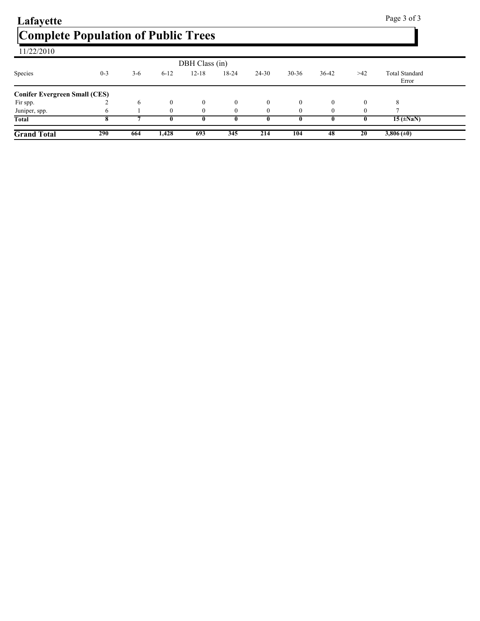| Lafayette                                  |            |       |          |                |          |              |           |          |          | Page 3 of 3                        |  |
|--------------------------------------------|------------|-------|----------|----------------|----------|--------------|-----------|----------|----------|------------------------------------|--|
| <b>Complete Population of Public Trees</b> |            |       |          |                |          |              |           |          |          |                                    |  |
| 11/22/2010                                 |            |       |          |                |          |              |           |          |          |                                    |  |
|                                            |            |       |          | DBH Class (in) |          |              |           |          |          |                                    |  |
| Species                                    | $0 - 3$    | $3-6$ | $6 - 12$ | $12 - 18$      | 18-24    | 24-30        | $30 - 36$ | 36-42    | $>42$    | <b>Total Standard</b><br>Error     |  |
| <b>Conifer Evergreen Small (CES)</b>       |            |       |          |                |          |              |           |          |          |                                    |  |
| Fir spp.                                   |            | 6     | $\theta$ | $\mathbf{0}$   | $\theta$ | $\mathbf{0}$ | $\theta$  | $\theta$ | $\theta$ | 8                                  |  |
| Juniper, spp.                              | 6          |       | $\theta$ | $\theta$       |          | $\theta$     | $\Omega$  |          |          |                                    |  |
| <b>Total</b>                               |            |       |          |                |          | 0            |           |          |          | $15 \left( \pm \text{NaN} \right)$ |  |
| <b>Grand Total</b>                         | <b>290</b> | 664   | 1,428    | 693            | 345      | 214          | 104       | 48       | 20       | $3,806 (\pm 0)$                    |  |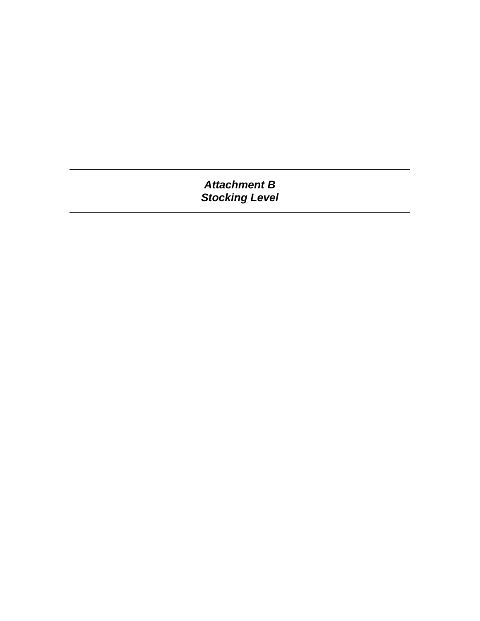*Attachment B Stocking Level*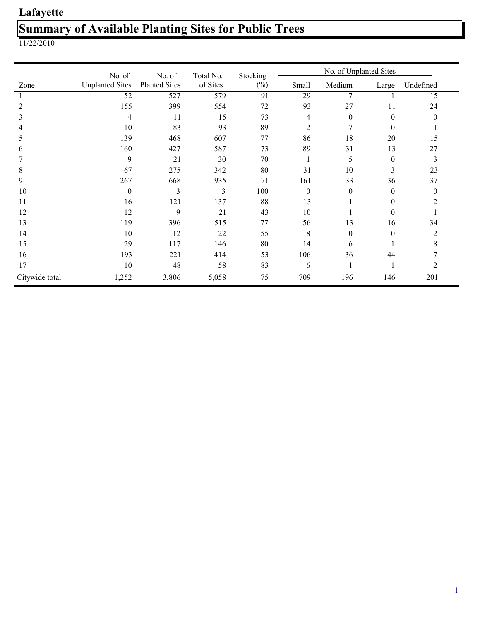## Lafayette Summary of Available Planting Sites for Public Trees

|                | No. of                 | Stocking                       | No. of Unplanted Sites |        |          |          |          |                |  |
|----------------|------------------------|--------------------------------|------------------------|--------|----------|----------|----------|----------------|--|
| Zone           | <b>Unplanted Sites</b> | No. of<br><b>Planted Sites</b> | Total No.<br>of Sites  | $(\%)$ | Small    | Medium   | Large    | Undefined      |  |
|                | 52                     | 527                            | 579                    | 91     | 29       |          |          | 15             |  |
| 2              | 155                    | 399                            | 554                    | 72     | 93       | 27       | 11       | 24             |  |
| 3              | 4                      | 11                             | 15                     | 73     | 4        | $\theta$ | 0        | $\theta$       |  |
|                | 10                     | 83                             | 93                     | 89     | 2        | 7        | $\theta$ |                |  |
| 5              | 139                    | 468                            | 607                    | 77     | 86       | 18       | 20       | 15             |  |
| 6              | 160                    | 427                            | 587                    | 73     | 89       | 31       | 13       | 27             |  |
|                | 9                      | 21                             | 30                     | 70     |          | 5        | $\theta$ | 3              |  |
| 8              | 67                     | 275                            | 342                    | 80     | 31       | 10       | 3        | 23             |  |
| 9              | 267                    | 668                            | 935                    | 71     | 161      | 33       | 36       | 37             |  |
| 10             | $\theta$               | 3                              | 3                      | 100    | $\theta$ | $\theta$ | $\theta$ | $\bf{0}$       |  |
| 11             | 16                     | 121                            | 137                    | 88     | 13       |          | $\Omega$ | $\mathfrak{D}$ |  |
| 12             | 12                     | 9                              | 21                     | 43     | 10       |          | $\theta$ |                |  |
| 13             | 119                    | 396                            | 515                    | 77     | 56       | 13       | 16       | 34             |  |
| 14             | 10                     | 12                             | 22                     | 55     | 8        | $\theta$ | $\theta$ | 2              |  |
| 15             | 29                     | 117                            | 146                    | 80     | 14       | 6        |          | 8              |  |
| 16             | 193                    | 221                            | 414                    | 53     | 106      | 36       | 44       |                |  |
| 17             | 10                     | 48                             | 58                     | 83     | 6        |          |          | 2              |  |
| Citywide total | 1,252                  | 3,806                          | 5,058                  | 75     | 709      | 196      | 146      | 201            |  |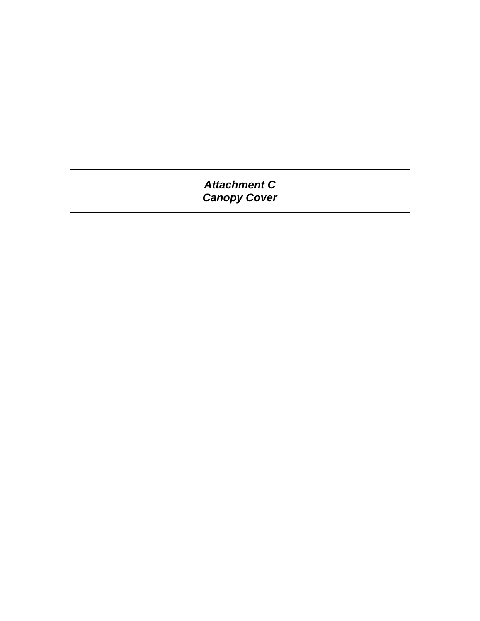*Attachment C Canopy Cover*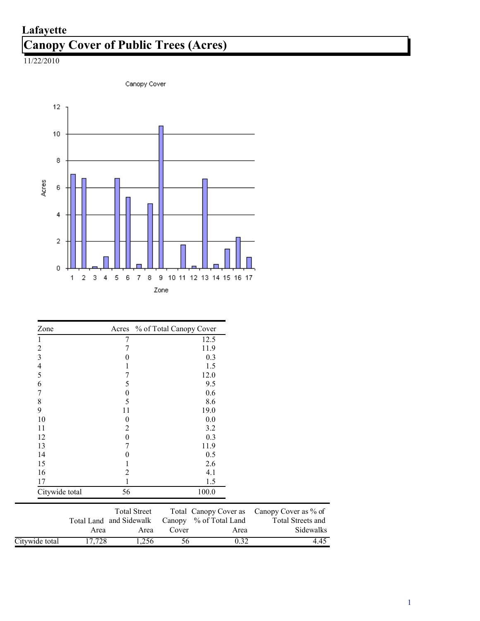### Canopy Cover of Public Trees (Acres) Lafayette



| Zone           | Acres                   |                     | % of Total Canopy Cover |                       |      |                      |
|----------------|-------------------------|---------------------|-------------------------|-----------------------|------|----------------------|
| 1              | 7                       |                     |                         | 12.5                  |      |                      |
| $\overline{c}$ |                         |                     |                         | 11.9                  |      |                      |
| 3              | 0                       |                     |                         | 0.3                   |      |                      |
| $\overline{4}$ |                         |                     |                         | 1.5                   |      |                      |
| 5              |                         |                     |                         | 12.0                  |      |                      |
| 6              | 5                       |                     |                         | 9.5                   |      |                      |
| 7              | 0                       |                     |                         | 0.6                   |      |                      |
| 8              | 5                       |                     |                         | 8.6                   |      |                      |
| 9              | 11                      |                     |                         | 19.0                  |      |                      |
| 10             | 0                       |                     |                         | 0.0                   |      |                      |
| 11             | 2                       |                     |                         | 3.2                   |      |                      |
| 12             | $\boldsymbol{0}$        |                     |                         | 0.3                   |      |                      |
| 13             | 7                       |                     |                         | 11.9                  |      |                      |
| 14             | 0                       |                     |                         | 0.5                   |      |                      |
| 15             |                         |                     |                         | 2.6                   |      |                      |
| 16             | 2                       |                     |                         | 4.1                   |      |                      |
| 17             |                         |                     |                         | 1.5                   |      |                      |
| Citywide total | 56                      |                     |                         | 100.0                 |      |                      |
|                |                         | <b>Total Street</b> |                         | Total Canopy Cover as |      | Canopy Cover as % of |
|                | Total Land and Sidewalk |                     | Canopy                  | % of Total Land       |      | Total Streets and    |
|                | Area                    | Area                | Cover                   |                       | Area | Sidewalks            |
| Citywide total | 17,728                  | 1,256               | 56                      |                       | 0.32 | 4.45                 |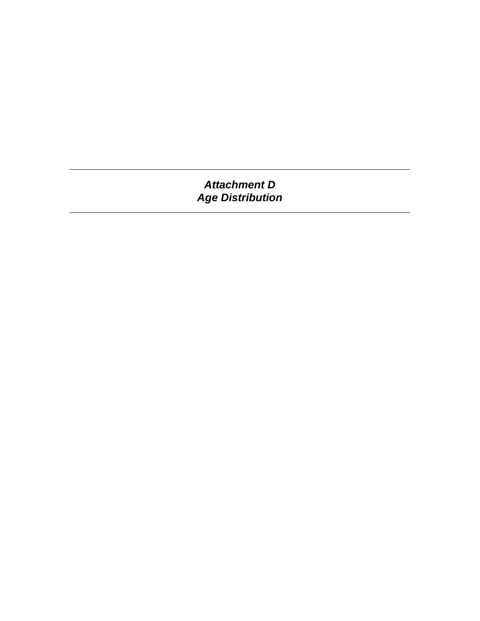*Attachment D Age Distribution*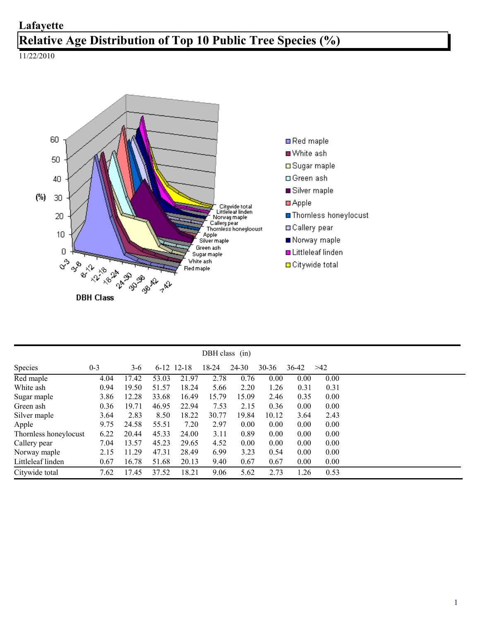### Relative Age Distribution of Top 10 Public Tree Species (%) Lafayette



|                       |         |       |       |              | DBH class $(in)$ |       |       |       |      |
|-----------------------|---------|-------|-------|--------------|------------------|-------|-------|-------|------|
| Species               | $0 - 3$ | $3-6$ |       | $6-12$ 12-18 | 18-24            | 24-30 | 30-36 | 36-42 | >42  |
| Red maple             | 4.04    | 17.42 | 53.03 | 21.97        | 2.78             | 0.76  | 0.00  | 0.00  | 0.00 |
| White ash             | 0.94    | 19.50 | 51.57 | 18.24        | 5.66             | 2.20  | 1.26  | 0.31  | 0.31 |
| Sugar maple           | 3.86    | 12.28 | 33.68 | 16.49        | 15.79            | 15.09 | 2.46  | 0.35  | 0.00 |
| Green ash             | 0.36    | 19.71 | 46.95 | 22.94        | 7.53             | 2.15  | 0.36  | 0.00  | 0.00 |
| Silver maple          | 3.64    | 2.83  | 8.50  | 18.22        | 30.77            | 19.84 | 10.12 | 3.64  | 2.43 |
| Apple                 | 9.75    | 24.58 | 55.51 | 7.20         | 2.97             | 0.00  | 0.00  | 0.00  | 0.00 |
| Thornless honeylocust | 6.22    | 20.44 | 45.33 | 24.00        | 3.11             | 0.89  | 0.00  | 0.00  | 0.00 |
| Callery pear          | 7.04    | 13.57 | 45.23 | 29.65        | 4.52             | 0.00  | 0.00  | 0.00  | 0.00 |
| Norway maple          | 2.15    | 11.29 | 47.31 | 28.49        | 6.99             | 3.23  | 0.54  | 0.00  | 0.00 |
| Littleleaf linden     | 0.67    | 16.78 | 51.68 | 20.13        | 9.40             | 0.67  | 0.67  | 0.00  | 0.00 |
| Citywide total        | 7.62    | 17.45 | 37.52 | 18.21        | 9.06             | 5.62  | 2.73  | 1.26  | 0.53 |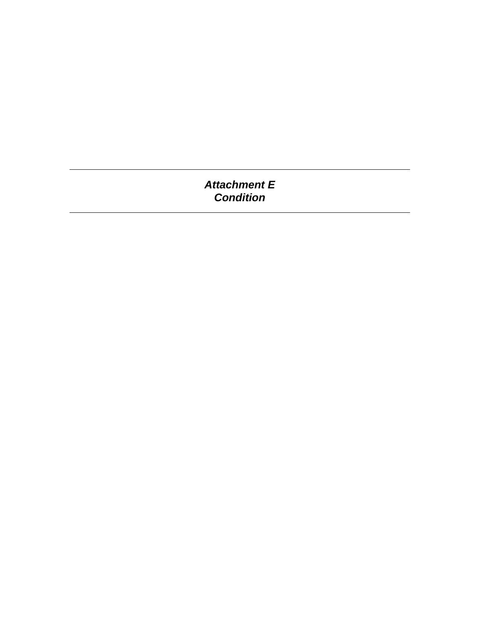### *Attachment E Condition*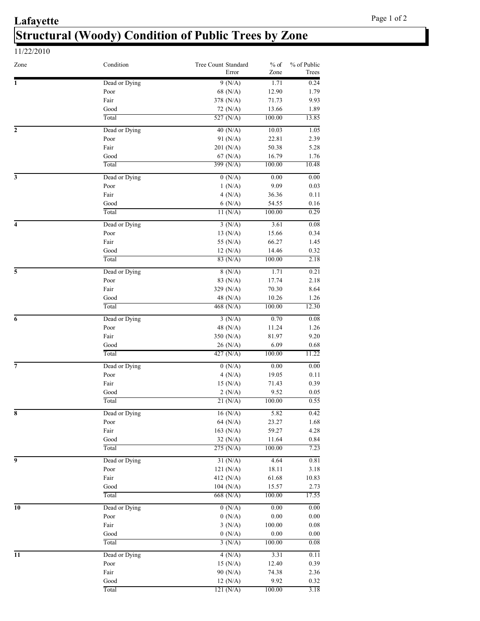### **Lafayette** Structural (Woody) Condition of Public Trees by Zone

| 11/22/2010   |               |                              |                |                      |
|--------------|---------------|------------------------------|----------------|----------------------|
| Zone         | Condition     | Tree Count Standard<br>Error | $%$ of<br>Zone | % of Public<br>Trees |
| 1            | Dead or Dying | 9(N/A)                       | 1.71           | 0.24                 |
|              | Poor          | 68 (N/A)                     | 12.90          | 1.79                 |
|              | Fair          | 378 $(N/A)$                  | 71.73          | 9.93                 |
|              | Good          | $72 \, (N/A)$                | 13.66          | 1.89                 |
|              | Total         | 527 $(N/A)$                  | 100.00         | 13.85                |
| $\mathbf{2}$ | Dead or Dying | 40 $(N/A)$                   | 10.03          | 1.05                 |
|              | Poor          | 91 (N/A)                     | 22.81          | 2.39                 |
|              | Fair          | 201 (N/A)                    | 50.38          | 5.28                 |
|              | Good          | $67$ (N/A)                   | 16.79          | 1.76                 |

|                         | Poor          | 68 (N/A)      | 12.90    | 1.79     |
|-------------------------|---------------|---------------|----------|----------|
|                         | Fair          | 378 (N/A)     | 71.73    | 9.93     |
|                         | Good          | 72 (N/A)      | 13.66    | 1.89     |
|                         | Total         | 527 $(N/A)$   | 100.00   | 13.85    |
| $\overline{\mathbf{c}}$ | Dead or Dying | $40$ (N/A)    | 10.03    | 1.05     |
|                         | Poor          | 91 (N/A)      | 22.81    | 2.39     |
|                         | Fair          | 201 (N/A)     | 50.38    | 5.28     |
|                         | Good          | 67 (N/A)      | 16.79    | 1.76     |
|                         | Total         | 399 (N/A)     | 100.00   | 10.48    |
| 3                       | Dead or Dying | 0(N/A)        | 0.00     | 0.00     |
|                         | Poor          | 1(N/A)        | 9.09     | 0.03     |
|                         | Fair          | 4(N/A)        | 36.36    | 0.11     |
|                         | Good          | 6(N/A)        | 54.55    | 0.16     |
|                         | Total         | 11(N/A)       | 100.00   | 0.29     |
| 4                       | Dead or Dying | 3(N/A)        | 3.61     | 0.08     |
|                         | Poor          | 13 (N/A)      | 15.66    | 0.34     |
|                         | Fair          | 55 (N/A)      | 66.27    | 1.45     |
|                         | Good          | 12(N/A)       | 14.46    | 0.32     |
|                         | Total         | 83 (N/A)      | 100.00   | 2.18     |
| 5                       | Dead or Dying | 8(N/A)        | 1.71     | 0.21     |
|                         | Poor          | 83 (N/A)      | 17.74    | 2.18     |
|                         | Fair          | 329 (N/A)     | 70.30    | 8.64     |
|                         | Good          | 48 (N/A)      | 10.26    | 1.26     |
|                         | Total         | 468 $(N/A)$   | 100.00   | 12.30    |
| 6                       | Dead or Dying | 3(N/A)        | 0.70     | 0.08     |
|                         | Poor          | 48 (N/A)      | 11.24    | 1.26     |
|                         | Fair          | 350 (N/A)     | 81.97    | 9.20     |
|                         | Good          | $26 \, (N/A)$ | 6.09     | 0.68     |
|                         | Total         | 427 (N/A)     | 100.00   | 11.22    |
| 7                       | Dead or Dying | 0(N/A)        | 0.00     | 0.00     |
|                         | Poor          | 4(N/A)        | 19.05    | 0.11     |
|                         | Fair          | 15 (N/A)      | 71.43    | 0.39     |
|                         | Good          | 2(N/A)        | 9.52     | 0.05     |
|                         | Total         | 21 (N/A)      | 100.00   | 0.55     |
| 8                       | Dead or Dying | $16$ (N/A)    | 5.82     | 0.42     |
|                         | Poor          | 64 (N/A)      | 23.27    | 1.68     |
|                         | Fair          | 163 (N/A)     | 59.27    | 4.28     |
|                         | Good          | 32 (N/A)      | 11.64    | $0.84\,$ |
|                         | Total         | 275 (N/A)     | 100.00   | 7.23     |
| 9                       | Dead or Dying | 31 (N/A)      | 4.64     | 0.81     |
|                         | Poor          | 121(N/A)      | 18.11    | 3.18     |
|                         | Fair          | 412 (N/A)     | 61.68    | 10.83    |
|                         | Good          | 104 (N/A)     | 15.57    | 2.73     |
|                         | Total         | $668$ (N/A)   | 100.00   | 17.55    |
| 10                      | Dead or Dying | 0(N/A)        | $0.00\,$ | $0.00\,$ |
|                         | Poor          | 0(N/A)        | $0.00\,$ | $0.00\,$ |
|                         | Fair          | 3(N/A)        | 100.00   | $0.08\,$ |
|                         | Good          | 0(N/A)        | 0.00     | $0.00\,$ |
|                         | Total         | 3(N/A)        | 100.00   | 0.08     |
| 11                      | Dead or Dying | 4(N/A)        | 3.31     | 0.11     |
|                         | Poor          | 15 (N/A)      | 12.40    | 0.39     |
|                         | Fair          | 90 (N/A)      | 74.38    | 2.36     |
|                         | Good          | 12(N/A)       | 9.92     | 0.32     |
|                         | Total         | 121 (N/A)     | 100.00   | 3.18     |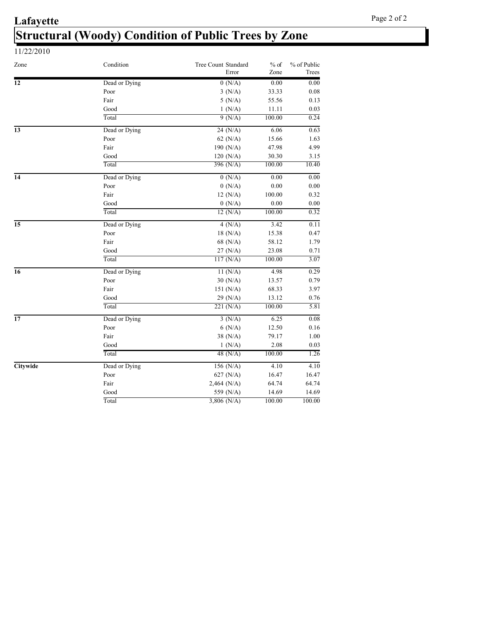### **Lafayette** Structural (Woody) Condition of Public Trees by Zone 11/22/2010

| Zone            | Condition     | <b>Tree Count Standard</b><br>Error | $%$ of<br>Zone | % of Public<br>Trees |
|-----------------|---------------|-------------------------------------|----------------|----------------------|
| 12              | Dead or Dying | 0(N/A)                              | 0.00           | 0.00                 |
|                 | Poor          | 3(N/A)                              | 33.33          | 0.08                 |
|                 | Fair          | 5(N/A)                              | 55.56          | 0.13                 |
|                 | Good          | 1(N/A)                              | 11.11          | 0.03                 |
|                 | Total         | 9(N/A)                              | 100.00         | 0.24                 |
| $\overline{13}$ | Dead or Dying | 24 (N/A)                            | 6.06           | 0.63                 |
|                 | Poor          | 62 (N/A)                            | 15.66          | 1.63                 |
|                 | Fair          | 190 (N/A)                           | 47.98          | 4.99                 |
|                 | Good          | 120 (N/A)                           | 30.30          | 3.15                 |
|                 | Total         | 396 (N/A)                           | 100.00         | 10.40                |
| 14              | Dead or Dying | 0(N/A)                              | 0.00           | 0.00                 |
|                 | Poor          | 0(N/A)                              | 0.00           | 0.00                 |
|                 | Fair          | 12(N/A)                             | 100.00         | 0.32                 |
|                 | Good          | 0(N/A)                              | 0.00           | 0.00                 |
|                 | Total         | 12(N/A)                             | 100.00         | 0.32                 |
| $\overline{15}$ | Dead or Dying | 4(N/A)                              | 3.42           | 0.11                 |
|                 | Poor          | 18 (N/A)                            | 15.38          | 0.47                 |
|                 | Fair          | 68 (N/A)                            | 58.12          | 1.79                 |
|                 | Good          | 27 (N/A)                            | 23.08          | 0.71                 |
|                 | Total         | 117 (N/A)                           | 100.00         | 3.07                 |
| 16              | Dead or Dying | 11(N/A)                             | 4.98           | 0.29                 |
|                 | Poor          | 30 (N/A)                            | 13.57          | 0.79                 |
|                 | Fair          | 151 (N/A)                           | 68.33          | 3.97                 |
|                 | Good          | 29 (N/A)                            | 13.12          | 0.76                 |
|                 | Total         | 221 (N/A)                           | 100.00         | 5.81                 |
| $\overline{17}$ | Dead or Dying | 3(N/A)                              | 6.25           | 0.08                 |
|                 | Poor          | 6(N/A)                              | 12.50          | 0.16                 |
|                 | Fair          | 38 (N/A)                            | 79.17          | 1.00                 |
|                 | Good          | 1(N/A)                              | 2.08           | 0.03                 |
|                 | Total         | 48 $(N/A)$                          | 100.00         | 1.26                 |
| Citywide        | Dead or Dying | 156 (N/A)                           | 4.10           | 4.10                 |
|                 | Poor          | $627$ (N/A)                         | 16.47          | 16.47                |
|                 | Fair          | $2,464$ (N/A)                       | 64.74          | 64.74                |
|                 | Good          | 559 (N/A)                           | 14.69          | 14.69                |
|                 | Total         | $3,806$ (N/A)                       | 100.00         | 100.00               |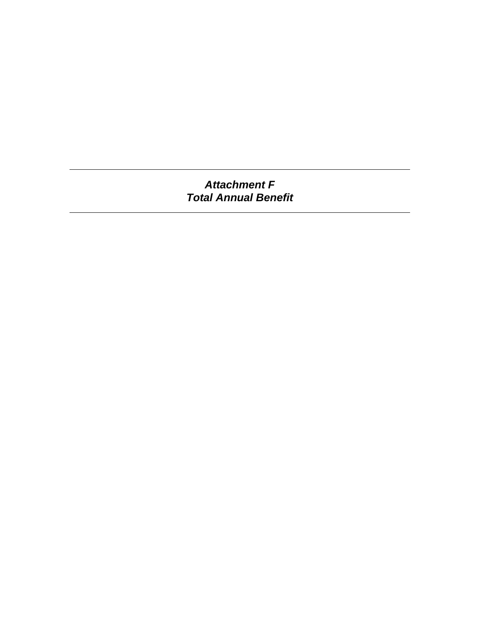*Attachment F Total Annual Benefit*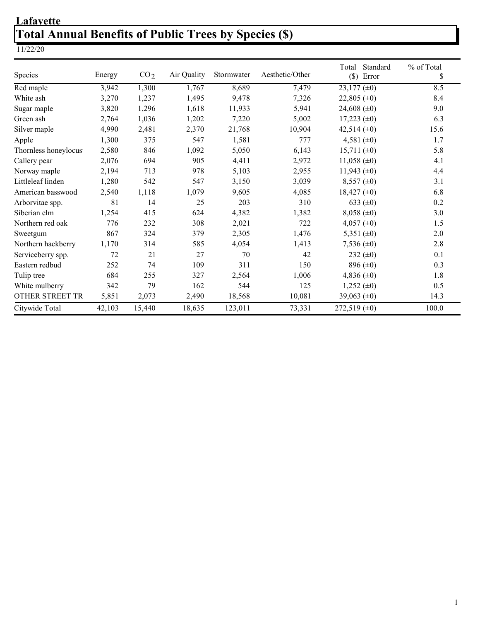### **Lafayette** Total Annual Benefits of Public Trees by Species (\$)

| Species              | Energy | CO <sub>2</sub> | Air Quality | Stormwater | Aesthetic/Other | Total<br>Standard<br>$(\$)$<br>Error | % of Total<br>\$ |
|----------------------|--------|-----------------|-------------|------------|-----------------|--------------------------------------|------------------|
| Red maple            | 3,942  | 1,300           | 1,767       | 8,689      | 7,479           | $23,177 \ (\pm 0)$                   | 8.5              |
| White ash            | 3,270  | 1,237           | 1,495       | 9,478      | 7,326           | 22,805 $(\pm 0)$                     | 8.4              |
| Sugar maple          | 3,820  | 1,296           | 1,618       | 11,933     | 5,941           | 24,608 $(\pm 0)$                     | 9.0              |
| Green ash            | 2,764  | 1,036           | 1,202       | 7,220      | 5,002           | $17,223 \ (\pm 0)$                   | 6.3              |
| Silver maple         | 4,990  | 2,481           | 2,370       | 21,768     | 10,904          | 42,514 $(\pm 0)$                     | 15.6             |
| Apple                | 1,300  | 375             | 547         | 1,581      | 777             | 4,581 $(\pm 0)$                      | 1.7              |
| Thornless honeylocus | 2,580  | 846             | 1,092       | 5,050      | 6,143           | $15,711 \ (\pm 0)$                   | 5.8              |
| Callery pear         | 2,076  | 694             | 905         | 4,411      | 2,972           | 11,058 ( $\pm$ 0)                    | 4.1              |
| Norway maple         | 2,194  | 713             | 978         | 5,103      | 2,955           | 11,943 $(\pm 0)$                     | 4.4              |
| Littleleaf linden    | 1,280  | 542             | 547         | 3,150      | 3,039           | $8,557 \ (\pm 0)$                    | 3.1              |
| American basswood    | 2,540  | 1,118           | 1,079       | 9,605      | 4,085           | $18,427 \ (\pm 0)$                   | 6.8              |
| Arborvitae spp.      | 81     | 14              | 25          | 203        | 310             | 633 $(\pm 0)$                        | 0.2              |
| Siberian elm         | 1,254  | 415             | 624         | 4,382      | 1,382           | $8,058 (\pm 0)$                      | 3.0              |
| Northern red oak     | 776    | 232             | 308         | 2,021      | 722             | 4,057 $(\pm 0)$                      | 1.5              |
| Sweetgum             | 867    | 324             | 379         | 2,305      | 1,476           | 5,351 $(\pm 0)$                      | 2.0              |
| Northern hackberry   | 1,170  | 314             | 585         | 4,054      | 1,413           | 7,536 $(\pm 0)$                      | 2.8              |
| Serviceberry spp.    | 72     | 21              | 27          | 70         | 42              | 232 $(\pm 0)$                        | 0.1              |
| Eastern redbud       | 252    | 74              | 109         | 311        | 150             | 896 $(\pm 0)$                        | 0.3              |
| Tulip tree           | 684    | 255             | 327         | 2,564      | 1,006           | 4,836 $(\pm 0)$                      | 1.8              |
| White mulberry       | 342    | 79              | 162         | 544        | 125             | 1,252 ( $\pm$ 0)                     | 0.5              |
| OTHER STREET TR      | 5,851  | 2,073           | 2,490       | 18,568     | 10,081          | 39,063 $(\pm 0)$                     | 14.3             |
| Citywide Total       | 42,103 | 15,440          | 18,635      | 123,011    | 73,331          | 272,519 $(\pm 0)$                    | 100.0            |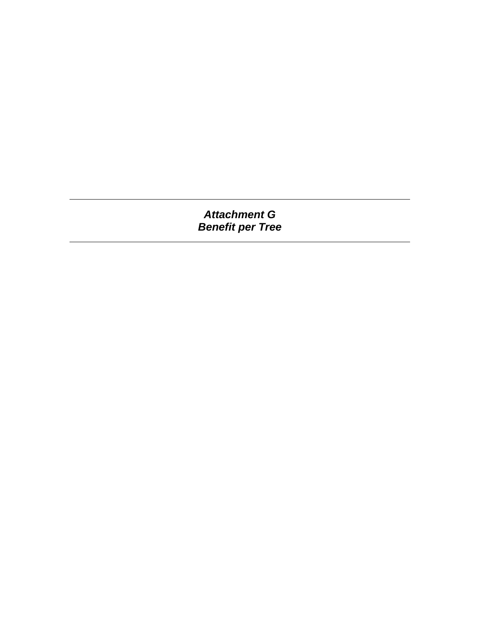### *Attachment G Benefit per Tree*